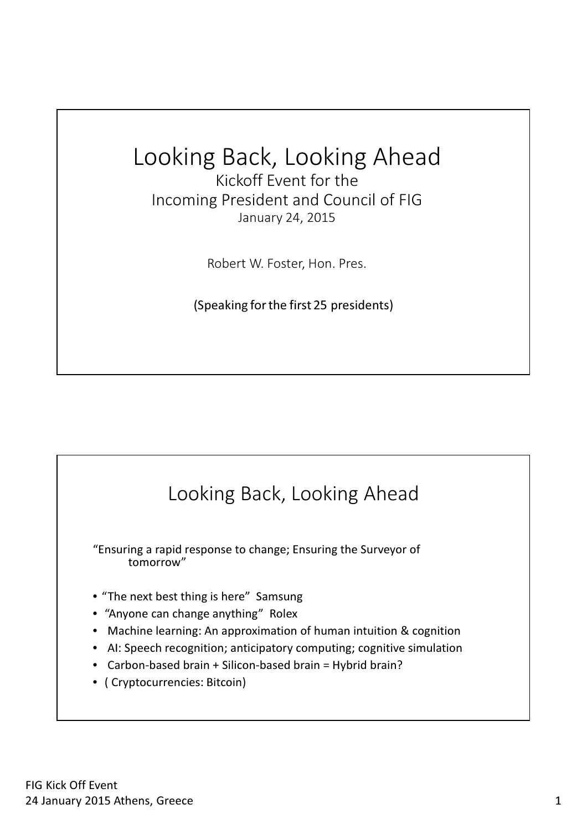## Looking Back, Looking Ahead

Kickoff Event for the Incoming President and Council of FIG January 24, 2015

Robert W. Foster, Hon. Pres.

(Speaking for the first 25 presidents)

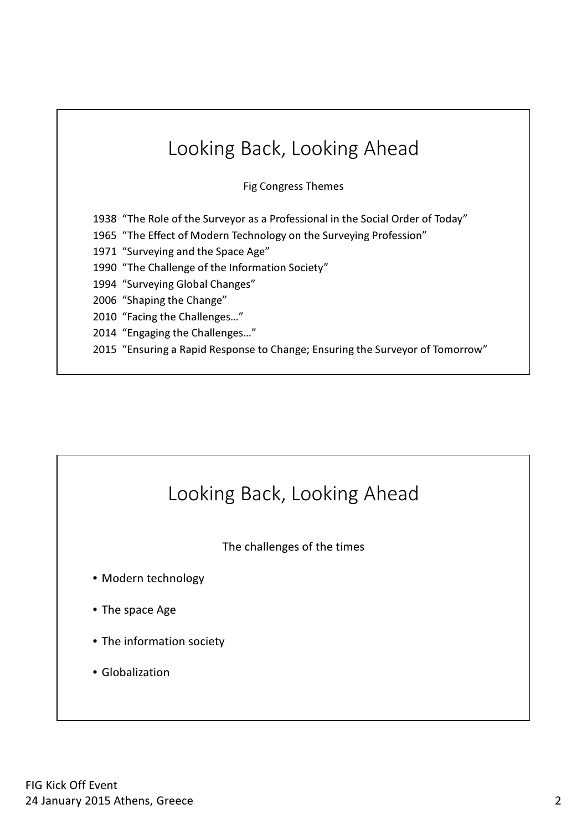| Looking Back, Looking Ahead                                                    |
|--------------------------------------------------------------------------------|
| <b>Fig Congress Themes</b>                                                     |
| 1938 "The Role of the Surveyor as a Professional in the Social Order of Today" |
| 1965 "The Effect of Modern Technology on the Surveying Profession"             |
| 1971 "Surveying and the Space Age"                                             |
| 1990 "The Challenge of the Information Society"                                |
| 1994 "Surveying Global Changes"                                                |
| 2006 "Shaping the Change"                                                      |
| 2010 "Facing the Challenges"                                                   |
| 2014 "Engaging the Challenges"                                                 |
| 2015 "Ensuring a Rapid Response to Change; Ensuring the Surveyor of Tomorrow"  |

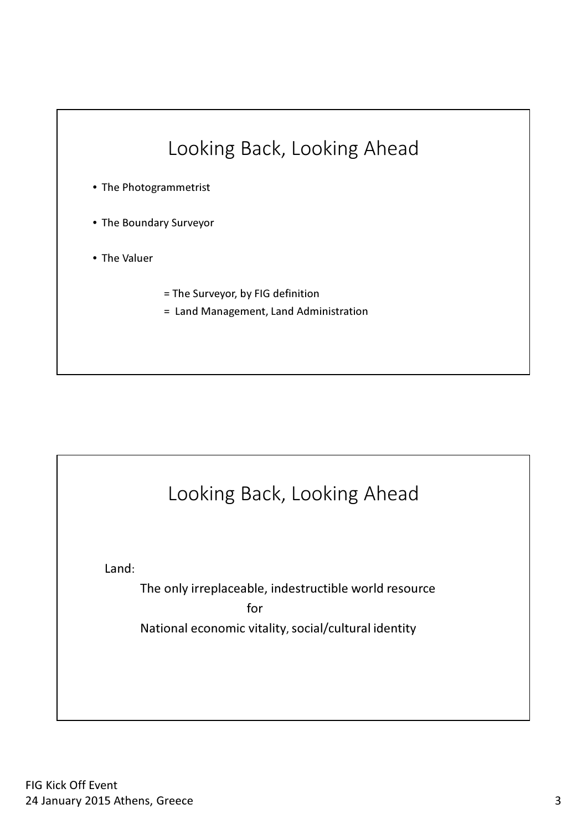

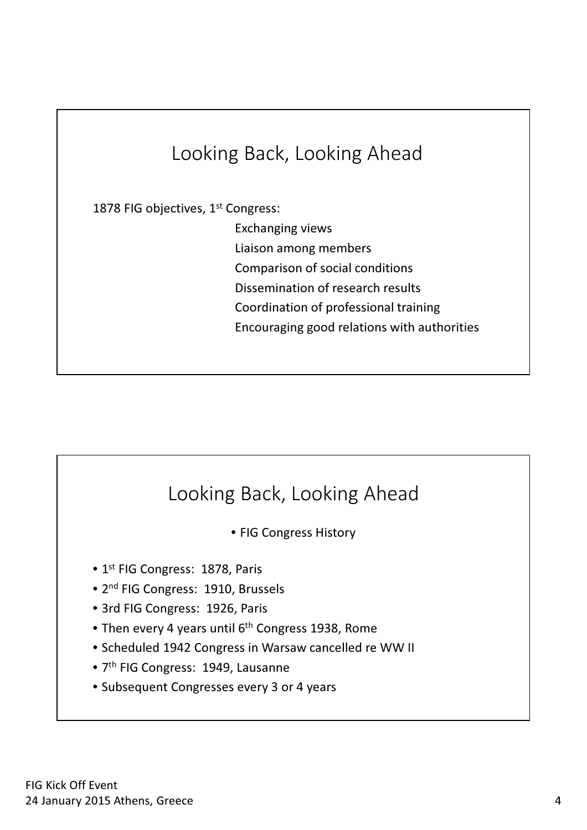## Looking Back, Looking Ahead

1878 FIG objectives, 1<sup>st</sup> Congress:

Exchanging views

Liaison among members

Comparison of social conditions

Dissemination of research results

Coordination of professional training

Encouraging good relations with authorities

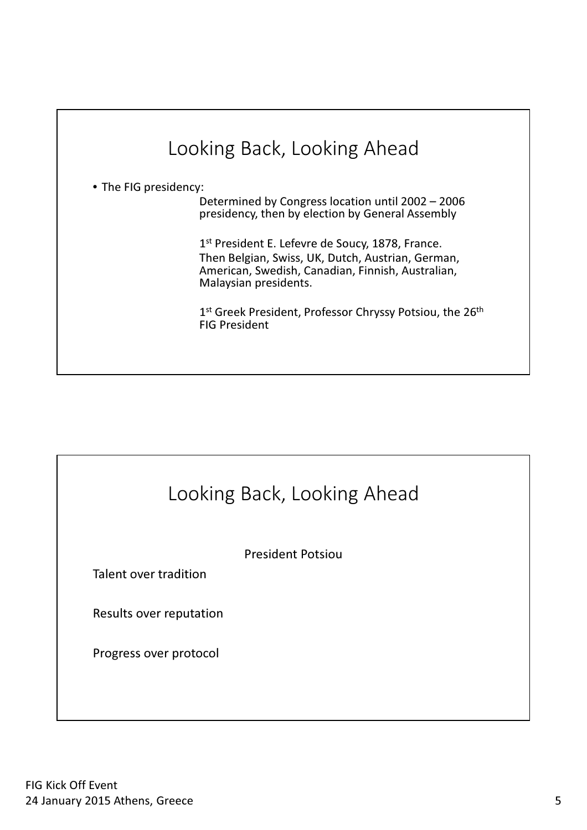## Looking Back, Looking Ahead • The FIG presidency: Determined by Congress location until 2002 – 2006 presidency, then by election by General Assembly 1<sup>st</sup> President E. Lefevre de Soucy, 1878, France. Then Belgian, Swiss, UK, Dutch, Austrian, German, American, Swedish, Canadian, Finnish, Australian, Malaysian presidents. 1st Greek President, Professor Chryssy Potsiou, the 26<sup>th</sup> FIG President